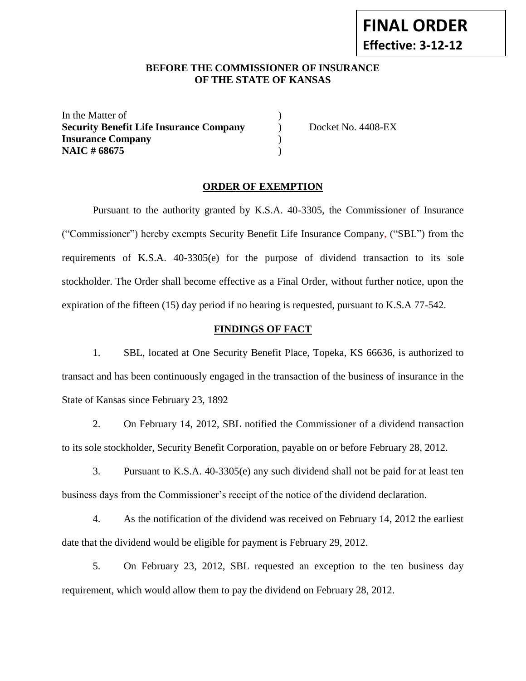#### **BEFORE THE COMMISSIONER OF INSURANCE OF THE STATE OF KANSAS**

In the Matter of  $\qquad \qquad$  ) **Security Benefit Life Insurance Company** ) Docket No. 4408-EX **Insurance Company** ) **NAIC** # 68675 )

#### **ORDER OF EXEMPTION**

Pursuant to the authority granted by K.S.A. 40-3305, the Commissioner of Insurance ("Commissioner") hereby exempts Security Benefit Life Insurance Company, ("SBL") from the requirements of K.S.A. 40-3305(e) for the purpose of dividend transaction to its sole stockholder. The Order shall become effective as a Final Order, without further notice, upon the expiration of the fifteen (15) day period if no hearing is requested, pursuant to K.S.A 77-542.

#### **FINDINGS OF FACT**

1. SBL, located at One Security Benefit Place, Topeka, KS 66636, is authorized to transact and has been continuously engaged in the transaction of the business of insurance in the State of Kansas since February 23, 1892

2. On February 14, 2012, SBL notified the Commissioner of a dividend transaction to its sole stockholder, Security Benefit Corporation, payable on or before February 28, 2012.

3. Pursuant to K.S.A. 40-3305(e) any such dividend shall not be paid for at least ten business days from the Commissioner's receipt of the notice of the dividend declaration.

4. As the notification of the dividend was received on February 14, 2012 the earliest date that the dividend would be eligible for payment is February 29, 2012.

5. On February 23, 2012, SBL requested an exception to the ten business day requirement, which would allow them to pay the dividend on February 28, 2012.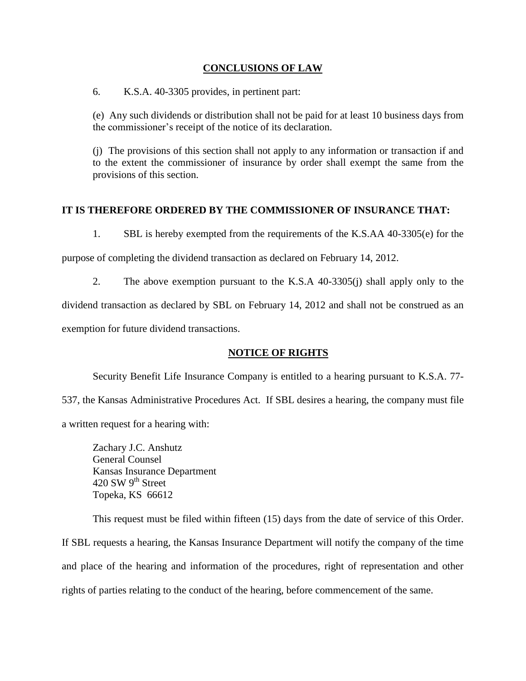### **CONCLUSIONS OF LAW**

6. K.S.A. 40-3305 provides, in pertinent part:

(e) Any such dividends or distribution shall not be paid for at least 10 business days from the commissioner's receipt of the notice of its declaration.

(j) The provisions of this section shall not apply to any information or transaction if and to the extent the commissioner of insurance by order shall exempt the same from the provisions of this section.

# **IT IS THEREFORE ORDERED BY THE COMMISSIONER OF INSURANCE THAT:**

1. SBL is hereby exempted from the requirements of the K.S.AA 40-3305(e) for the

purpose of completing the dividend transaction as declared on February 14, 2012.

2. The above exemption pursuant to the K.S.A 40-3305(j) shall apply only to the

dividend transaction as declared by SBL on February 14, 2012 and shall not be construed as an

exemption for future dividend transactions.

# **NOTICE OF RIGHTS**

Security Benefit Life Insurance Company is entitled to a hearing pursuant to K.S.A. 77- 537, the Kansas Administrative Procedures Act. If SBL desires a hearing, the company must file a written request for a hearing with:

Zachary J.C. Anshutz General Counsel Kansas Insurance Department 420 SW  $9^{\text{th}}$  Street Topeka, KS 66612

This request must be filed within fifteen (15) days from the date of service of this Order. If SBL requests a hearing, the Kansas Insurance Department will notify the company of the time and place of the hearing and information of the procedures, right of representation and other rights of parties relating to the conduct of the hearing, before commencement of the same.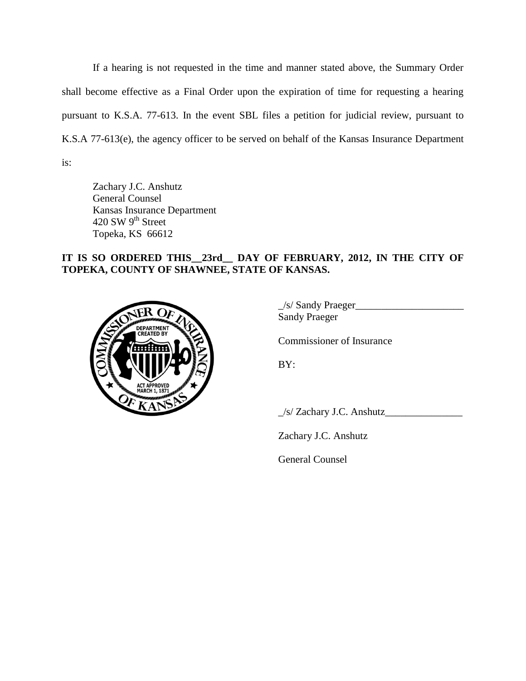If a hearing is not requested in the time and manner stated above, the Summary Order shall become effective as a Final Order upon the expiration of time for requesting a hearing pursuant to K.S.A. 77-613. In the event SBL files a petition for judicial review, pursuant to K.S.A 77-613(e), the agency officer to be served on behalf of the Kansas Insurance Department is:

Zachary J.C. Anshutz General Counsel Kansas Insurance Department 420 SW 9<sup>th</sup> Street Topeka, KS 66612

# **IT IS SO ORDERED THIS\_\_23rd\_\_ DAY OF FEBRUARY, 2012, IN THE CITY OF TOPEKA, COUNTY OF SHAWNEE, STATE OF KANSAS.**



 $\frac{1}{s}$  Sandy Praeger Sandy Praeger

Commissioner of Insurance

BY:

\_/s/ Zachary J.C. Anshutz\_\_\_\_\_\_\_\_\_\_\_\_\_\_\_

Zachary J.C. Anshutz

General Counsel